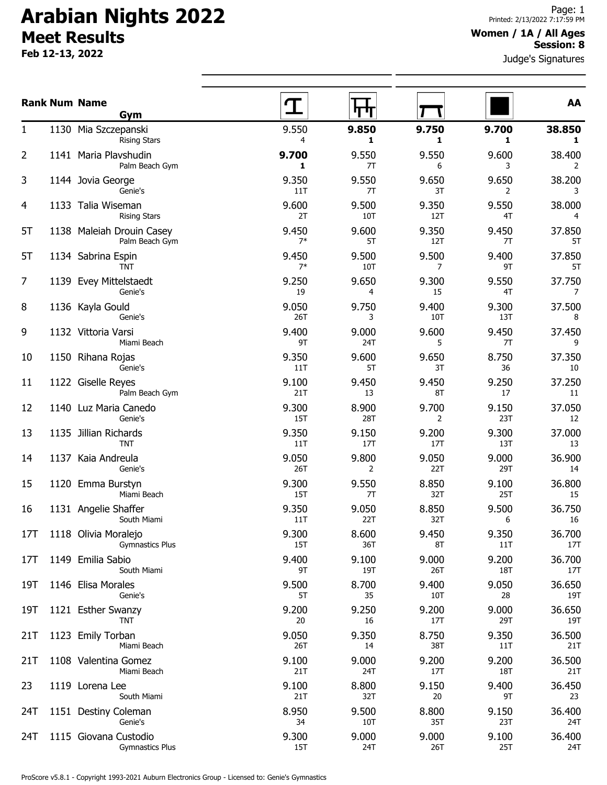# **Arabian Nights 2022 Meet Results**

**Feb 12-13, 2022**

#### **Women / 1A / All Ages Session: 8**

Judge's Signatures

|                |      | <b>Rank Num Name</b><br>Gym                     |               |              |              |              | AA            |
|----------------|------|-------------------------------------------------|---------------|--------------|--------------|--------------|---------------|
| $\mathbf{1}$   |      | 1130 Mia Szczepanski<br><b>Rising Stars</b>     | 9.550<br>4    | 9.850<br>1   | 9.750<br>1   | 9.700<br>1   | 38.850<br>1   |
| 2              |      | 1141 Maria Plavshudin<br>Palm Beach Gym         | 9.700<br>1    | 9.550<br>7T  | 9.550<br>6   | 9.600<br>3   | 38.400<br>2   |
| 3              |      | 1144 Jovia George<br>Genie's                    | 9.350<br>11T  | 9.550<br>7T  | 9.650<br>3T  | 9.650<br>2   | 38.200<br>3   |
| 4              |      | 1133 Talia Wiseman<br><b>Rising Stars</b>       | 9.600<br>2T   | 9.500<br>10T | 9.350<br>12T | 9.550<br>4T  | 38.000<br>4   |
| 5T             |      | 1138 Maleiah Drouin Casey<br>Palm Beach Gym     | 9.450<br>$7*$ | 9.600<br>5T  | 9.350<br>12T | 9.450<br>7T  | 37.850<br>5T  |
| 5T             |      | 1134 Sabrina Espin<br>TNT                       | 9.450<br>$7*$ | 9.500<br>10T | 9.500<br>7   | 9.400<br>9T  | 37.850<br>5T  |
| $\overline{7}$ |      | 1139 Evey Mittelstaedt<br>Genie's               | 9.250<br>19   | 9.650<br>4   | 9.300<br>15  | 9.550<br>4T  | 37.750<br>7   |
| 8              |      | 1136 Kayla Gould<br>Genie's                     | 9.050<br>26T  | 9.750<br>3   | 9.400<br>10T | 9.300<br>13T | 37.500<br>8   |
| 9              |      | 1132 Vittoria Varsi<br>Miami Beach              | 9.400<br>9T   | 9.000<br>24T | 9.600<br>5   | 9.450<br>7T  | 37.450<br>9   |
| 10             |      | 1150 Rihana Rojas<br>Genie's                    | 9.350<br>11T  | 9.600<br>5T  | 9.650<br>3T  | 8.750<br>36  | 37.350<br>10  |
| 11             |      | 1122 Giselle Reyes<br>Palm Beach Gym            | 9.100<br>21T  | 9.450<br>13  | 9.450<br>8T  | 9.250<br>17  | 37.250<br>11  |
| 12             |      | 1140 Luz Maria Canedo<br>Genie's                | 9.300<br>15T  | 8.900<br>28T | 9.700<br>2   | 9.150<br>23T | 37.050<br>12  |
| 13             |      | 1135 Jillian Richards<br><b>TNT</b>             | 9.350<br>11T  | 9.150<br>17T | 9.200<br>17T | 9.300<br>13T | 37.000<br>13  |
| 14             | 1137 | Kaia Andreula<br>Genie's                        | 9.050<br>26T  | 9.800<br>2   | 9.050<br>22T | 9.000<br>29T | 36.900<br>14  |
| 15             |      | 1120 Emma Burstyn<br>Miami Beach                | 9.300<br>15T  | 9.550<br>7T  | 8.850<br>32T | 9.100<br>25T | 36.800<br>15  |
| 16             |      | 1131 Angelie Shaffer<br>South Miami             | 9.350<br>11T  | 9.050<br>22T | 8.850<br>32T | 9.500<br>6   | 36.750<br>16  |
| 17T            |      | 1118 Olivia Moralejo<br><b>Gymnastics Plus</b>  | 9.300<br>15T  | 8.600<br>36T | 9.450<br>8T  | 9.350<br>11T | 36.700<br>17T |
| 17T            |      | 1149 Emilia Sabio<br>South Miami                | 9.400<br>9T   | 9.100<br>19T | 9.000<br>26T | 9.200<br>18T | 36.700<br>17T |
| 19T            |      | 1146 Elisa Morales<br>Genie's                   | 9.500<br>5T   | 8.700<br>35  | 9.400<br>10T | 9.050<br>28  | 36.650<br>19T |
| 19T            |      | 1121 Esther Swanzy<br><b>TNT</b>                | 9.200<br>20   | 9.250<br>16  | 9.200<br>17T | 9.000<br>29T | 36.650<br>19T |
| 21T            |      | 1123 Emily Torban<br>Miami Beach                | 9.050<br>26T  | 9.350<br>14  | 8.750<br>38T | 9.350<br>11T | 36.500<br>21T |
| 21T            |      | 1108 Valentina Gomez<br>Miami Beach             | 9.100<br>21T  | 9.000<br>24T | 9.200<br>17T | 9.200<br>18T | 36.500<br>21T |
| 23             |      | 1119 Lorena Lee<br>South Miami                  | 9.100<br>21T  | 8.800<br>32T | 9.150<br>20  | 9.400<br>9T  | 36.450<br>23  |
| 24T            |      | 1151 Destiny Coleman<br>Genie's                 | 8.950<br>34   | 9.500<br>10T | 8.800<br>35T | 9.150<br>23T | 36.400<br>24T |
| 24T            |      | 1115 Giovana Custodio<br><b>Gymnastics Plus</b> | 9.300<br>15T  | 9.000<br>24T | 9.000<br>26T | 9.100<br>25T | 36.400<br>24T |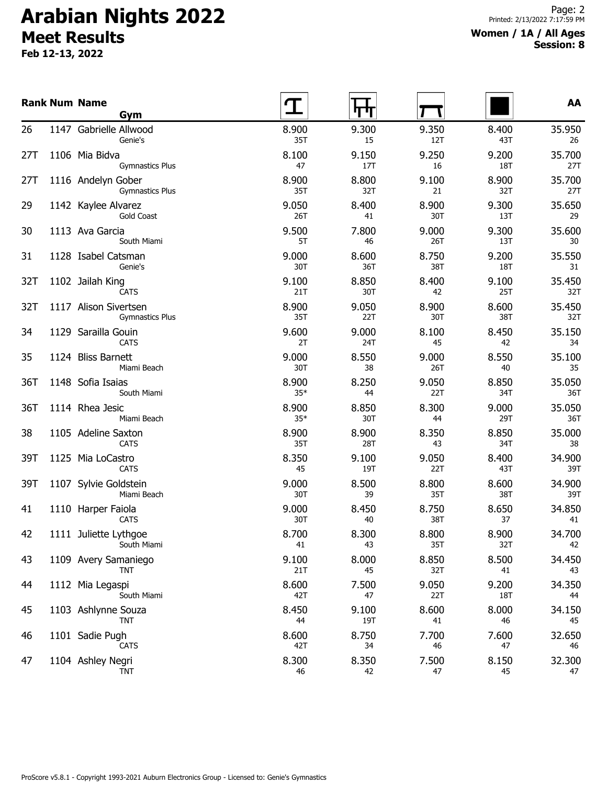# **Arabian Nights 2022 Meet Results**

**Feb 12-13, 2022**

#### **Women / 1A / All Ages Session: 8**

|     | <b>Rank Num Name</b><br>Gym                     |                |              |              |              | AA            |
|-----|-------------------------------------------------|----------------|--------------|--------------|--------------|---------------|
| 26  | 1147 Gabrielle Allwood<br>Genie's               | 8.900<br>35T   | 9.300<br>15  | 9.350<br>12T | 8.400<br>43T | 35.950<br>26  |
| 27T | 1106 Mia Bidva<br><b>Gymnastics Plus</b>        | 8.100<br>47    | 9.150<br>17T | 9.250<br>16  | 9.200<br>18T | 35.700<br>27T |
| 27T | 1116 Andelyn Gober<br><b>Gymnastics Plus</b>    | 8.900<br>35T   | 8.800<br>32T | 9.100<br>21  | 8.900<br>32T | 35.700<br>27T |
| 29  | 1142 Kaylee Alvarez<br>Gold Coast               | 9.050<br>26T   | 8.400<br>41  | 8.900<br>30T | 9.300<br>13T | 35.650<br>29  |
| 30  | 1113 Ava Garcia<br>South Miami                  | 9.500<br>5T    | 7.800<br>46  | 9.000<br>26T | 9.300<br>13T | 35.600<br>30  |
| 31  | 1128 Isabel Catsman<br>Genie's                  | 9.000<br>30T   | 8.600<br>36T | 8.750<br>38T | 9.200<br>18T | 35.550<br>31  |
| 32T | 1102 Jailah King<br><b>CATS</b>                 | 9.100<br>21T   | 8.850<br>30T | 8.400<br>42  | 9.100<br>25T | 35.450<br>32T |
| 32T | 1117 Alison Sivertsen<br><b>Gymnastics Plus</b> | 8.900<br>35T   | 9.050<br>22T | 8.900<br>30T | 8.600<br>38T | 35.450<br>32T |
| 34  | 1129 Sarailla Gouin<br><b>CATS</b>              | 9.600<br>2T    | 9.000<br>24T | 8.100<br>45  | 8.450<br>42  | 35.150<br>34  |
| 35  | 1124 Bliss Barnett<br>Miami Beach               | 9.000<br>30T   | 8.550<br>38  | 9.000<br>26T | 8.550<br>40  | 35.100<br>35  |
| 36T | 1148 Sofia Isaias<br>South Miami                | 8.900<br>$35*$ | 8.250<br>44  | 9.050<br>22T | 8.850<br>34T | 35.050<br>36T |
| 36T | 1114 Rhea Jesic<br>Miami Beach                  | 8.900<br>$35*$ | 8.850<br>30T | 8.300<br>44  | 9.000<br>29T | 35.050<br>36T |
| 38  | 1105 Adeline Saxton<br><b>CATS</b>              | 8.900<br>35T   | 8.900<br>28T | 8.350<br>43  | 8.850<br>34T | 35.000<br>38  |
| 39T | 1125 Mia LoCastro<br><b>CATS</b>                | 8.350<br>45    | 9.100<br>19T | 9.050<br>22T | 8.400<br>43T | 34.900<br>39T |
| 39T | 1107 Sylvie Goldstein<br>Miami Beach            | 9.000<br>30T   | 8.500<br>39  | 8.800<br>35T | 8.600<br>38T | 34.900<br>39T |
| 41  | 1110 Harper Faiola<br><b>CATS</b>               | 9.000<br>30T   | 8.450<br>40  | 8.750<br>38T | 8.650<br>37  | 34.850<br>41  |
| 42  | 1111 Juliette Lythgoe<br>South Miami            | 8.700<br>41    | 8.300<br>43  | 8.800<br>35T | 8.900<br>32T | 34.700<br>42  |
| 43  | 1109 Avery Samaniego<br><b>TNT</b>              | 9.100<br>21T   | 8.000<br>45  | 8.850<br>32T | 8.500<br>41  | 34.450<br>43  |
| 44  | 1112 Mia Legaspi<br>South Miami                 | 8.600<br>42T   | 7.500<br>47  | 9.050<br>22T | 9.200<br>18T | 34.350<br>44  |
| 45  | 1103 Ashlynne Souza<br><b>TNT</b>               | 8.450<br>44    | 9.100<br>19T | 8.600<br>41  | 8.000<br>46  | 34.150<br>45  |
| 46  | 1101 Sadie Pugh<br><b>CATS</b>                  | 8.600<br>42T   | 8.750<br>34  | 7.700<br>46  | 7.600<br>47  | 32.650<br>46  |
| 47  | 1104 Ashley Negri<br>TNT                        | 8.300<br>46    | 8.350<br>42  | 7.500<br>47  | 8.150<br>45  | 32.300<br>47  |